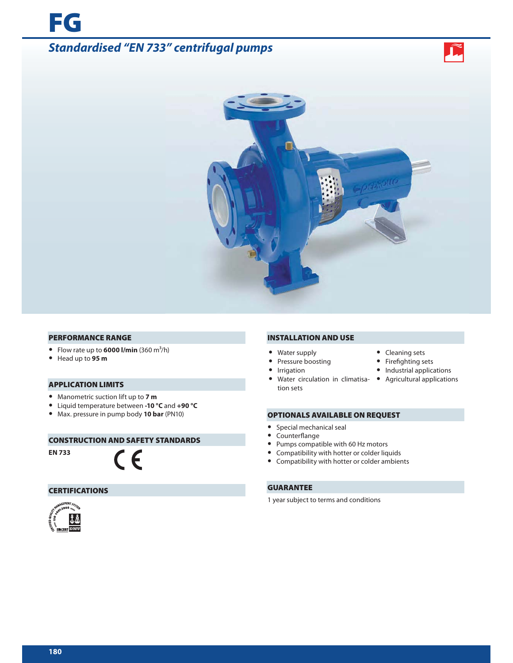



### **PERFORMANCE RANGE**

- Flow rate up to  $6000$  l/min  $(360 \text{ m}^3/\text{h})$
- **•** Head up to **95 m**

**FG**

# **APPLICATION LIMITS**

- **•** Manometric suction lift up to **7 m**
- **•** Liquid temperature between **-10 °C** and **+90 °C**
- **•** Max. pressure in pump body **10 bar** (PN10)

## **CONSTRUCTION AND SAFETY STANDARDS**

 $\epsilon$ 

**EN 733**

# **CERTIFICATIONS**



## **INSTALLATION AND USE**

- **•** Water supply **•** Cleaning sets
- 
- 
- **•** Water circulation in climatisa-**•** Agricultural applications tion sets
- 
- Pressure boosting **•** Firefighting sets
- **•** Irrigation **•** Industrial applications
	-

# **OPTIONALS AVAILABLE ON REQUEST**

- **•** Special mechanical seal
- Counterflange
- **•** Pumps compatible with 60 Hz motors
- **•** Compatibility with hotter or colder liquids
- **•** Compatibility with hotter or colder ambients

# **GUARANTEE**

1 year subject to terms and conditions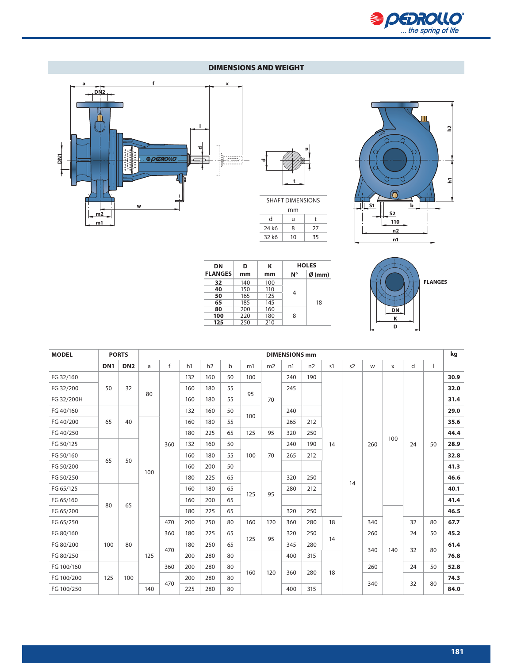

# **DIMENSIONS AND WEIGHT**





24 k6 8 27 32 k6 10 35



| DΝ             | D   | к   | <b>HOLES</b> |                  |  |  |
|----------------|-----|-----|--------------|------------------|--|--|
| <b>FLANGES</b> | mm  | mm  | N°           | $\emptyset$ (mm) |  |  |
| 32             | 140 | 100 |              |                  |  |  |
| 40             | 150 | 110 |              |                  |  |  |
| 50             | 165 | 125 | 4            |                  |  |  |
| 65             | 185 | 145 |              | 18               |  |  |
| 80             | 200 | 160 |              |                  |  |  |
| 100            | 220 | 180 | 8            |                  |  |  |
| 125            | 250 | 210 |              |                  |  |  |



| <b>MODEL</b> | <b>PORTS</b>    | <b>DIMENSIONS mm</b> |     |              |     |     |             |     |                |     |     |     | kg |     |          |     |    |      |      |      |
|--------------|-----------------|----------------------|-----|--------------|-----|-----|-------------|-----|----------------|-----|-----|-----|----|-----|----------|-----|----|------|------|------|
|              | DN <sub>1</sub> | DN <sub>2</sub>      | a   | $\mathsf{f}$ | h1  | h2  | $\mathsf b$ | m1  | m <sub>2</sub> | n1  | n2  | s1  | s2 | W   | $\times$ | d   |    |      |      |      |
| FG 32/160    |                 |                      |     |              | 132 | 160 | 50          | 100 |                | 240 | 190 |     |    |     |          |     |    | 30.9 |      |      |
| FG 32/200    | 50              | 32                   | 80  |              | 160 | 180 | 55          | 95  |                | 245 |     |     |    |     |          |     |    | 32.0 |      |      |
| FG 32/200H   |                 |                      |     |              |     |     | 160         | 180 | 55             |     | 70  |     |    |     |          |     |    |      |      | 31.4 |
| FG 40/160    |                 |                      |     |              | 132 | 160 | 50          | 100 |                | 240 |     |     |    |     |          |     |    | 29.0 |      |      |
| FG 40/200    | 65              | 40                   |     |              | 160 | 180 | 55          |     |                | 265 | 212 |     |    |     |          |     |    | 35.6 |      |      |
| FG 40/250    |                 |                      |     |              | 180 | 225 | 65          | 125 | 95             | 320 | 250 |     |    |     |          |     |    | 44.4 |      |      |
| FG 50/125    |                 |                      |     | 360          | 132 | 160 | 50          |     |                | 240 | 190 | 14  |    | 260 | 100      | 24  | 50 | 28.9 |      |      |
| FG 50/160    |                 |                      |     |              | 160 | 180 | 55          | 100 | 70             | 265 | 212 |     |    |     |          |     |    | 32.8 |      |      |
| FG 50/200    | 65              | 50                   |     |              | 160 | 200 | 50          |     |                |     |     |     |    |     |          |     |    | 41.3 |      |      |
| FG 50/250    |                 |                      | 100 |              | 180 | 225 | 65          |     |                | 320 | 250 |     |    |     |          |     |    | 46.6 |      |      |
| FG 65/125    |                 |                      |     |              | 160 | 180 | 65          |     |                | 280 | 212 |     | 14 |     |          |     |    | 40.1 |      |      |
| FG 65/160    |                 |                      |     |              | 160 | 200 | 65          | 125 | 95             |     |     |     |    |     |          |     |    | 41.4 |      |      |
| FG 65/200    | 80              | 65                   |     |              | 180 | 225 | 65          |     |                | 320 | 250 |     |    |     |          |     |    | 46.5 |      |      |
| FG 65/250    |                 |                      |     | 470          | 200 | 250 | 80          | 160 | 120            | 360 | 280 | 18  |    | 340 |          | 32  | 80 | 67.7 |      |      |
| FG 80/160    |                 |                      |     | 360          | 180 | 225 | 65          |     |                | 320 | 250 |     |    | 260 |          | 24  | 50 | 45.2 |      |      |
| FG 80/200    | 100             | 80                   |     |              | 180 | 250 | 65          | 125 | 95             | 345 | 280 | 14  |    |     |          |     |    | 61.4 |      |      |
| FG 80/250    |                 |                      |     | 125          | 470 | 200 | 280         | 80  |                |     | 400 | 315 |    |     | 340      | 140 | 32 | 80   | 76.8 |      |
| FG 100/160   |                 |                      |     | 360          | 200 | 280 | 80          |     |                |     |     |     |    | 260 |          | 24  | 50 | 52.8 |      |      |
| FG 100/200   | 125             | 100                  |     |              | 200 | 280 | 80          | 160 | 120            | 360 | 280 | 18  |    |     |          |     |    | 74.3 |      |      |
| FG 100/250   |                 |                      | 140 | 470          | 225 | 280 | 80          |     |                | 400 | 315 |     |    | 340 |          | 32  | 80 | 84.0 |      |      |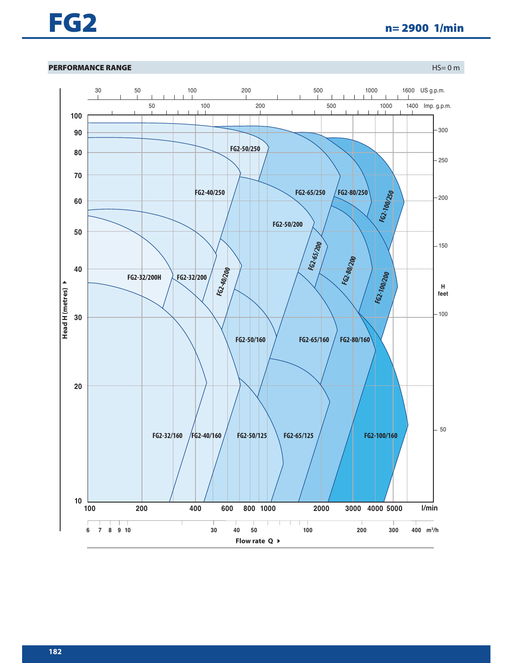

# **PERFORMANCE RANGE** HS= 0 m

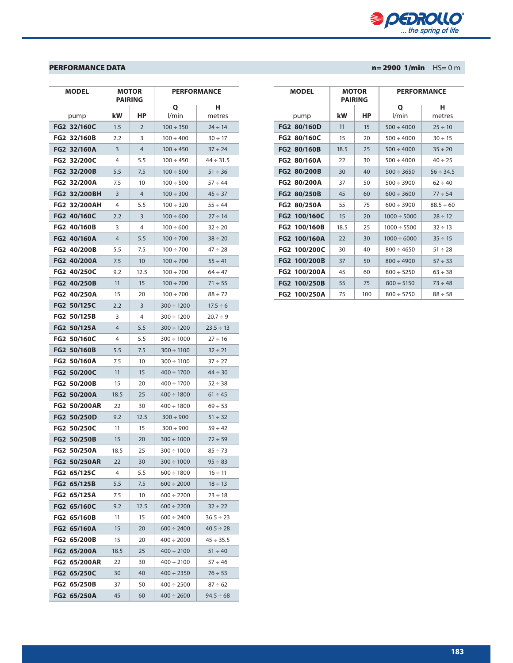

| <b>MODEL</b>               |      | <b>MOTOR</b>          | <b>PERFORMANCE</b> |                |  |  |
|----------------------------|------|-----------------------|--------------------|----------------|--|--|
|                            |      | <b>PAIRING</b>        | Q                  | н              |  |  |
| pump                       | kW   | НP                    | l/min              | metres         |  |  |
| FG2 32/160C                | 1.5  | $\overline{2}$        | $100 \div 350$     | $24 \div 14$   |  |  |
| FG2 32/160B                | 2.2  | 3                     | $100 \div 400$     | $30 \div 17$   |  |  |
| FG2 32/160A                | 3    | $\overline{4}$        | $100 \div 450$     | $37 \div 24$   |  |  |
| FG2 32/200C                | 4    | 5.5                   | 100 ÷ 450          | $44 \div 31.5$ |  |  |
| FG2 32/200B                | 5.5  | 7.5                   | $100 \div 500$     | $51 \div 36$   |  |  |
| FG2 32/200A                | 7.5  | 10                    | $100 \div 500$     | $57 \div 44$   |  |  |
| FG2 32/200BH               | 3    | $\overline{4}$        | $100 \div 300$     | $45 \div 37$   |  |  |
| <b>FG2 32/200AH</b>        | 4    | 5.5                   | $100 \div 320$     | $55 \div 44$   |  |  |
| FG2 40/160C                | 2.2  | 3                     | $100 \div 600$     | $27 \div 14$   |  |  |
| FG2 40/160B                | 3    | 4                     | $100 \div 600$     | $32 \div 20$   |  |  |
| FG2 40/160A                | 4    | 5.5                   | $100 \div 700$     | $38 \div 20$   |  |  |
| FG2 40/200B                | 5.5  | 7.5                   | $100 \div 700$     | $47 \div 28$   |  |  |
| FG2 40/200A                | 7.5  | 10                    | $100 \div 700$     | $55 \div 41$   |  |  |
| <b>FG2 40/250C</b>         | 9.2  | 12.5                  | $100 \div 700$     | $64 \div 47$   |  |  |
| FG2 40/250B                | 11   | 15                    | $100 \div 700$     | $71 \div 55$   |  |  |
| FG2 40/250A                | 15   | 20                    | $100 \div 700$     | $88 \div 72$   |  |  |
| FG2 50/125C                | 2.2  | 3                     | $300 \div 1200$    | $17.5 \div 6$  |  |  |
| <b>FG2 50/125B</b>         | 3    | 4                     | $300 \div 1200$    | $20.7 \div 9$  |  |  |
| FG2 50/125A                | 4    | 5.5                   | $300 \div 1200$    | $23.5 \div 13$ |  |  |
| FG <sub>2</sub><br>50/160C | 4    | 5.5                   | $300 \div 1000$    | $27 \div 16$   |  |  |
| FG2 50/160B                | 5.5  | 7.5                   | $300 \div 1100$    | $32 \div 21$   |  |  |
| FG2 50/160A                | 7.5  | 10                    | $300 \div 1100$    | $37 \div 27$   |  |  |
| FG2 50/200C                | 11   | 15                    | $400 \div 1700$    | $44 \div 30$   |  |  |
| FG2 50/200B                | 15   | 20                    | $400 \div 1700$    | $52 \div 38$   |  |  |
| FG2 50/200A                | 18.5 | 25<br>$400 \div 1800$ |                    | $61 \div 45$   |  |  |
| <b>FG2 50/200AR</b>        | 22   | 30                    | $400 \div 1800$    | $69 \div 53$   |  |  |
| FG2 50/250D                | 9.2  | 12.5                  | $300 \div 900$     | $51 \div 32$   |  |  |
| FG2 50/250C                | 11   | 15                    | $300 \div 900$     | $59 \div 42$   |  |  |
| FG2 50/250B                | 15   | 20                    | $300 \div 1000$    | $72 \div 59$   |  |  |
| <b>FG2 50/250A</b>         | 18.5 | 25                    | $300 \div 1000$    | $85 \div 73$   |  |  |
| FG2 50/250AR               | 22   | 30                    | $300 \div 1000$    | $95 \div 83$   |  |  |
| FG2 65/125C                | 4    | 5.5                   | $600 \div 1800$    | $16 \div 11$   |  |  |
| FG2 65/125B                | 5.5  | 7.5                   | $600 \div 2000$    | $18 \div 13$   |  |  |
| FG2 65/125A                | 7.5  | 10                    | $600 \div 2200$    | $23 \div 18$   |  |  |
| FG2 65/160C                | 9.2  | 12.5                  | $600 \div 2200$    | $32 \div 22$   |  |  |
| FG2 65/160B                | 11   | 15                    | $600 \div 2400$    | $36.5 \div 23$ |  |  |
| FG2 65/160A                | 15   | 20                    | $600 \div 2400$    | $40.5 \div 28$ |  |  |
| FG2 65/200B                | 15   | 20                    | $400 \div 2000$    | $45 \div 35.5$ |  |  |
| FG2 65/200A                | 18.5 | 25                    | $400 \div 2100$    | $51 \div 40$   |  |  |
| FG2 65/200AR               | 22   | 30                    | $400 \div 2100$    | $57 \div 46$   |  |  |
| FG2 65/250C                | 30   | 40                    | $400 \div 2350$    | $76 \div 53$   |  |  |
| FG2 65/250B                | 37   | 50                    | $400 \div 2500$    | $87 \div 62$   |  |  |
| FG2 65/250A                | 45   | 60                    | $400 \div 2600$    | $94.5 \div 68$ |  |  |

| <b>MODEL</b>       | <b>PAIRING</b> | <b>MOTOR</b> |                  | <b>PERFORMANCE</b> |  |
|--------------------|----------------|--------------|------------------|--------------------|--|
|                    |                |              | Ο                | н                  |  |
| pump               | kW             | НP           | l/min            | metres             |  |
| FG2 80/160D        | 11             | 15           | $500 \div 4000$  | $25 \div 10$       |  |
| <b>FG2 80/160C</b> | 15             | 20           | $500 \div 4000$  | $30 \div 15$       |  |
| <b>FG2 80/160B</b> | 18.5           | 25           | $500 \div 4000$  | $35 \div 20$       |  |
| FG2 80/160A        | 22             | 30           | $500 \div 4000$  | $40 \div 25$       |  |
| FG2 80/200B        | 30             | 40           | $500 \div 3650$  | $56 \div 34.5$     |  |
| FG2 80/200A        | 37             | 50           | $500 \div 3900$  | $62 \div 40$       |  |
| FG2 80/250B        | 45             | 60           | $600 \div 3600$  | $77 \div 54$       |  |
| FG2 80/250A        | 55             | 75           | $600 \div 3900$  | $88.5 \div 60$     |  |
| FG2 100/160C       | 15             | 20           | $1000 \div 5000$ | $28 \div 12$       |  |
| FG2 100/160B       | 18.5           | 25           | $1000 \div 5500$ | $32 \div 13$       |  |
| FG2 100/160A       | 22             | 30           | $1000 \div 6000$ | $35 \div 15$       |  |
| FG2 100/200C       | 30             | 40           | $800 \div 4650$  | $51 \div 28$       |  |
| FG2 100/200B       | 37             | 50           | $800 \div 4900$  | $57 \div 33$       |  |
| FG2 100/200A       | 45             | 60           | $800 \div 5250$  | $63 \div 38$       |  |
| FG2 100/250B       | 55             | 75           | $800 \div 5150$  | $73 \div 48$       |  |
| FG2 100/250A       | 75             | 100          | $800 \div 5750$  | $88 \div 58$       |  |

# **PERFORMANCE DATA n= 2900 1/min** HS= 0 m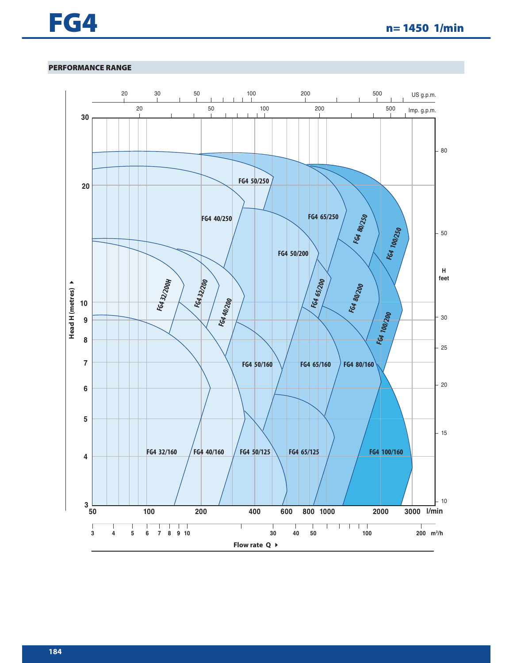

# **PERFORMANCE RANGE**